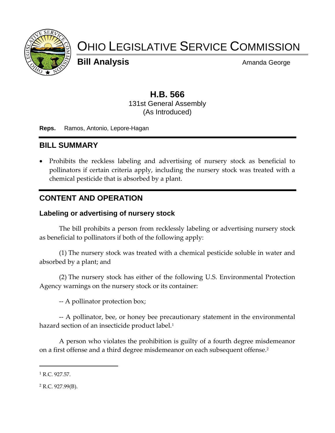

# OHIO LEGISLATIVE SERVICE COMMISSION

**Bill Analysis** Amanda George

#### **H.B. 566** 131st General Assembly (As Introduced)

**Reps.** Ramos, Antonio, Lepore-Hagan

## **BILL SUMMARY**

• Prohibits the reckless labeling and advertising of nursery stock as beneficial to pollinators if certain criteria apply, including the nursery stock was treated with a chemical pesticide that is absorbed by a plant.

### **CONTENT AND OPERATION**

#### **Labeling or advertising of nursery stock**

The bill prohibits a person from recklessly labeling or advertising nursery stock as beneficial to pollinators if both of the following apply:

(1) The nursery stock was treated with a chemical pesticide soluble in water and absorbed by a plant; and

(2) The nursery stock has either of the following U.S. Environmental Protection Agency warnings on the nursery stock or its container:

-- A pollinator protection box;

-- A pollinator, bee, or honey bee precautionary statement in the environmental hazard section of an insecticide product label.<sup>1</sup>

A person who violates the prohibition is guilty of a fourth degree misdemeanor on a first offense and a third degree misdemeanor on each subsequent offense.<sup>2</sup>

 $\overline{a}$ 

 $1$  R.C. 927.57.

 $2$  R.C. 927.99(B).